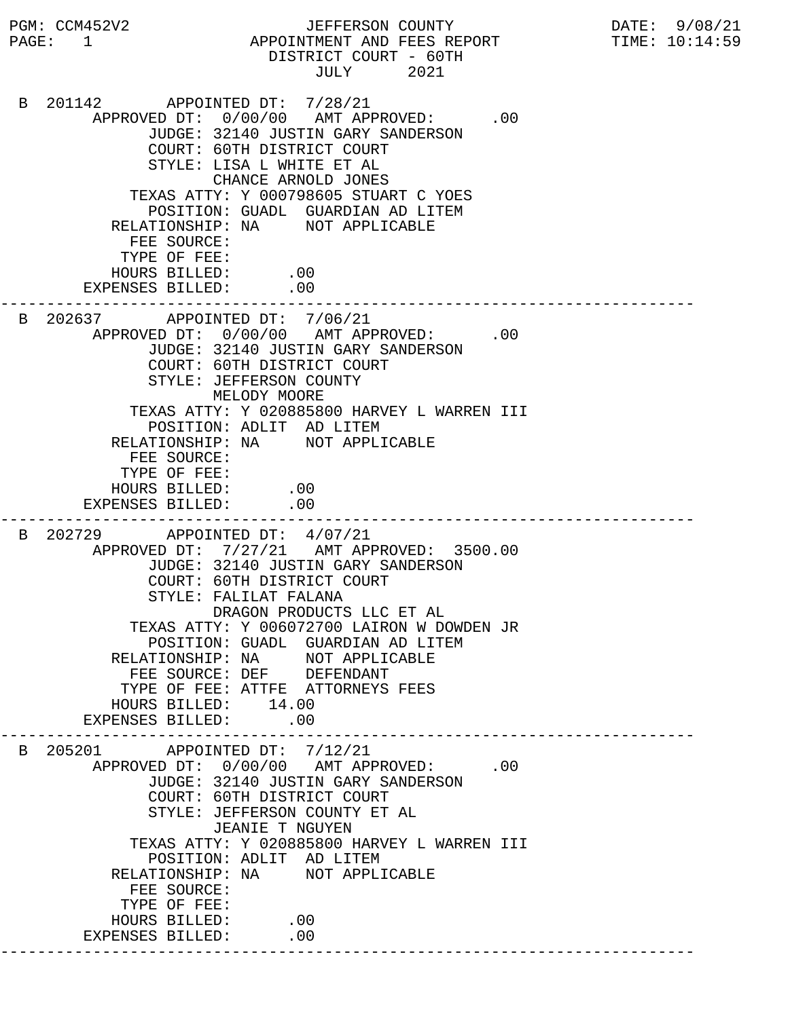PGM: CCM452V2 JEFFERSON COUNTY DATE: 9/08/21 PAGE: 1 APPOINTMENT AND FEES REPORT TIME: 10:14:59 DISTRICT COURT - 60TH JULY 2021 B 201142 APPOINTED DT: 7/28/21 APPROVED DT:  $0/00/00$  AMT APPROVED: .00 JUDGE: 32140 JUSTIN GARY SANDERSON COURT: 60TH DISTRICT COURT STYLE: LISA L WHITE ET AL CHANCE ARNOLD JONES TEXAS ATTY: Y 000798605 STUART C YOES POSITION: GUADL GUARDIAN AD LITEM RELATIONSHIP: NA NOT APPLICABLE FEE SOURCE: TYPE OF FEE: HOURS BILLED: .00 EXPENSES BILLED: .00 --------------------------------------------------------------------------- B 202637 APPOINTED DT: 7/06/21 APPROVED DT:  $0/00/00$  AMT APPROVED: .00 JUDGE: 32140 JUSTIN GARY SANDERSON COURT: 60TH DISTRICT COURT STYLE: JEFFERSON COUNTY MELODY MOORE TEXAS ATTY: Y 020885800 HARVEY L WARREN III POSITION: ADLIT AD LITEM RELATIONSHIP: NA NOT APPLICABLE FEE SOURCE: TYPE OF FEE: HOURS BILLED: .00 EXPENSES BILLED: .00 --------------------------------------------------------------------------- B 202729 APPOINTED DT: 4/07/21 APPROVED DT: 7/27/21 AMT APPROVED: 3500.00 JUDGE: 32140 JUSTIN GARY SANDERSON COURT: 60TH DISTRICT COURT STYLE: FALILAT FALANA DRAGON PRODUCTS LLC ET AL TEXAS ATTY: Y 006072700 LAIRON W DOWDEN JR POSITION: GUADL GUARDIAN AD LITEM RELATIONSHIP: NA NOT APPLICABLE FEE SOURCE: DEF DEFENDANT TYPE OF FEE: ATTFE ATTORNEYS FEES HOURS BILLED: 14.00 EXPENSES BILLED: .00 --------------------------------------------------------------------------- B 205201 APPOINTED DT: 7/12/21 APPROVED DT:  $0/00/00$  AMT APPROVED: .00 JUDGE: 32140 JUSTIN GARY SANDERSON COURT: 60TH DISTRICT COURT STYLE: JEFFERSON COUNTY ET AL JEANIE T NGUYEN TEXAS ATTY: Y 020885800 HARVEY L WARREN III POSITION: ADLIT AD LITEM RELATIONSHIP: NA NOT APPLICABLE FEE SOURCE: TYPE OF FEE: HOURS BILLED: .00 EXPENSES BILLED: .00 ---------------------------------------------------------------------------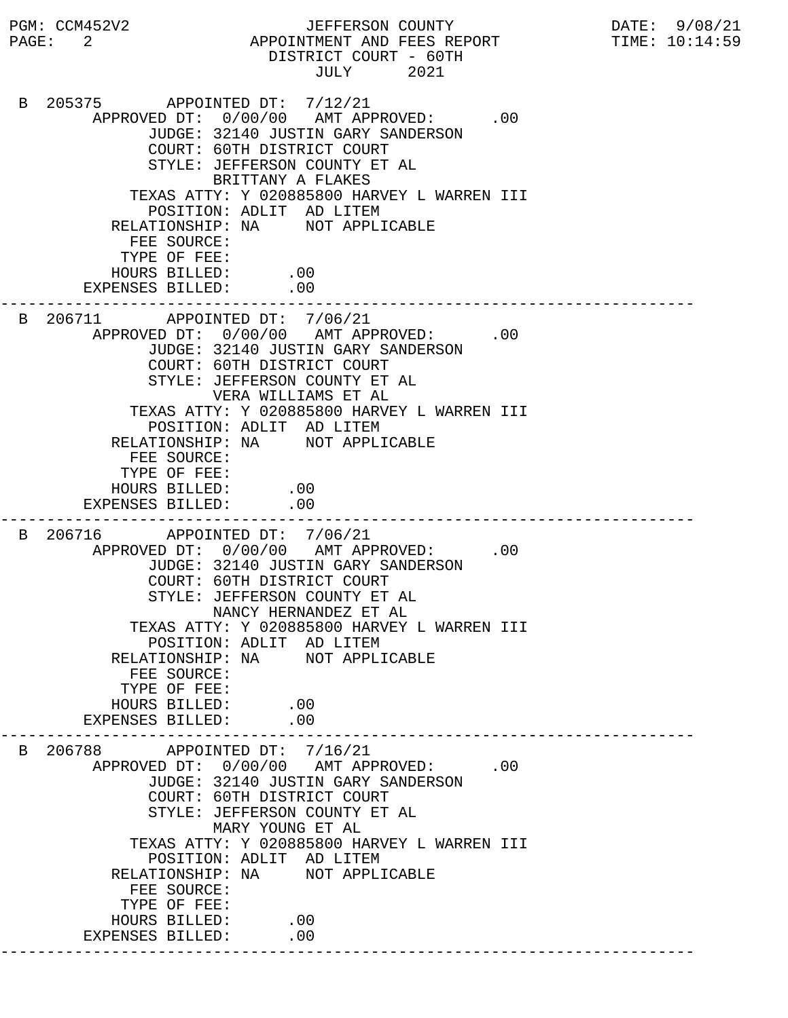PGM: CCM452V2 JEFFERSON COUNTY DATE: 9/08/21 PAGE: 2 APPOINTMENT AND FEES REPORT TIME:  $10:14:59$  DISTRICT COURT - 60TH JULY 2021 B 205375 APPOINTED DT: 7/12/21 APPROVED DT:  $0/00/00$  AMT APPROVED: .00 JUDGE: 32140 JUSTIN GARY SANDERSON COURT: 60TH DISTRICT COURT STYLE: JEFFERSON COUNTY ET AL BRITTANY A FLAKES TEXAS ATTY: Y 020885800 HARVEY L WARREN III POSITION: ADLIT AD LITEM RELATIONSHIP: NA NOT APPLICABLE FEE SOURCE: TYPE OF FEE: HOURS BILLED: .00 EXPENSES BILLED: .00 --------------------------------------------------------------------------- B 206711 APPOINTED DT: 7/06/21 APPROVED DT:  $0/00/00$  AMT APPROVED: .00 JUDGE: 32140 JUSTIN GARY SANDERSON COURT: 60TH DISTRICT COURT STYLE: JEFFERSON COUNTY ET AL VERA WILLIAMS ET AL TEXAS ATTY: Y 020885800 HARVEY L WARREN III POSITION: ADLIT AD LITEM RELATIONSHIP: NA NOT APPLICABLE FEE SOURCE: TYPE OF FEE: HOURS BILLED: .00 EXPENSES BILLED: .00 --------------------------------------------------------------------------- B 206716 APPOINTED DT: 7/06/21 APPROVED DT:  $0/00/00$  AMT APPROVED: .00 JUDGE: 32140 JUSTIN GARY SANDERSON COURT: 60TH DISTRICT COURT STYLE: JEFFERSON COUNTY ET AL NANCY HERNANDEZ ET AL TEXAS ATTY: Y 020885800 HARVEY L WARREN III POSITION: ADLIT AD LITEM RELATIONSHIP: NA NOT APPLICABLE FEE SOURCE: TYPE OF FEE: HOURS BILLED: .00<br>ENSES BILLED: .00 EXPENSES BILLED: --------------------------------------------------------------------------- B 206788 APPOINTED DT: 7/16/21 APPROVED DT:  $0/00/00$  AMT APPROVED: .00 JUDGE: 32140 JUSTIN GARY SANDERSON COURT: 60TH DISTRICT COURT STYLE: JEFFERSON COUNTY ET AL MARY YOUNG ET AL TEXAS ATTY: Y 020885800 HARVEY L WARREN III POSITION: ADLIT AD LITEM RELATIONSHIP: NA NOT APPLICABLE FEE SOURCE: TYPE OF FEE: HOURS BILLED: .00 EXPENSES BILLED: .00 ---------------------------------------------------------------------------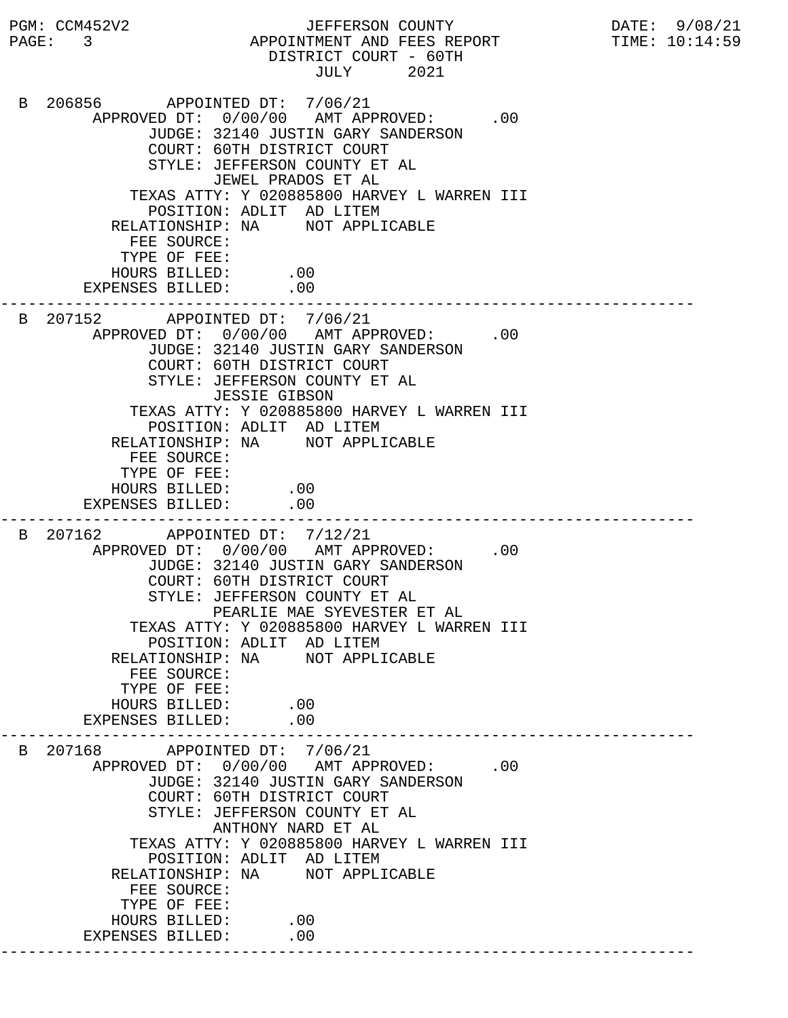PGM: CCM452V2 JEFFERSON COUNTY DATE: 9/08/21 PAGE: 3 APPOINTMENT AND FEES REPORT TIME: 10:14:59 DISTRICT COURT - 60TH JULY 2021 B 206856 APPOINTED DT: 7/06/21 APPROVED DT:  $0/00/00$  AMT APPROVED: .00 JUDGE: 32140 JUSTIN GARY SANDERSON COURT: 60TH DISTRICT COURT STYLE: JEFFERSON COUNTY ET AL JEWEL PRADOS ET AL TEXAS ATTY: Y 020885800 HARVEY L WARREN III POSITION: ADLIT AD LITEM RELATIONSHIP: NA NOT APPLICABLE FEE SOURCE: TYPE OF FEE: HOURS BILLED: .00 EXPENSES BILLED: .00 --------------------------------------------------------------------------- B 207152 APPOINTED DT: 7/06/21 APPROVED DT:  $0/00/00$  AMT APPROVED: .00 JUDGE: 32140 JUSTIN GARY SANDERSON COURT: 60TH DISTRICT COURT STYLE: JEFFERSON COUNTY ET AL JESSIE GIBSON TEXAS ATTY: Y 020885800 HARVEY L WARREN III POSITION: ADLIT AD LITEM RELATIONSHIP: NA NOT APPLICABLE FEE SOURCE: TYPE OF FEE: HOURS BILLED: .00 EXPENSES BILLED: .00 --------------------------------------------------------------------------- B 207162 APPOINTED DT: 7/12/21 APPROVED DT:  $0/00/00$  AMT APPROVED: .00 JUDGE: 32140 JUSTIN GARY SANDERSON COURT: 60TH DISTRICT COURT STYLE: JEFFERSON COUNTY ET AL PEARLIE MAE SYEVESTER ET AL TEXAS ATTY: Y 020885800 HARVEY L WARREN III POSITION: ADLIT AD LITEM RELATIONSHIP: NA NOT APPLICABLE FEE SOURCE: TYPE OF FEE: HOURS BILLED: .00<br>ENSES BILLED: .00 EXPENSES BILLED: --------------------------------------------------------------------------- B 207168 APPOINTED DT: 7/06/21 APPROVED DT:  $0/00/00$  AMT APPROVED: .00 JUDGE: 32140 JUSTIN GARY SANDERSON COURT: 60TH DISTRICT COURT STYLE: JEFFERSON COUNTY ET AL ANTHONY NARD ET AL TEXAS ATTY: Y 020885800 HARVEY L WARREN III POSITION: ADLIT AD LITEM RELATIONSHIP: NA NOT APPLICABLE FEE SOURCE: TYPE OF FEE: HOURS BILLED: .00 EXPENSES BILLED: .00 ---------------------------------------------------------------------------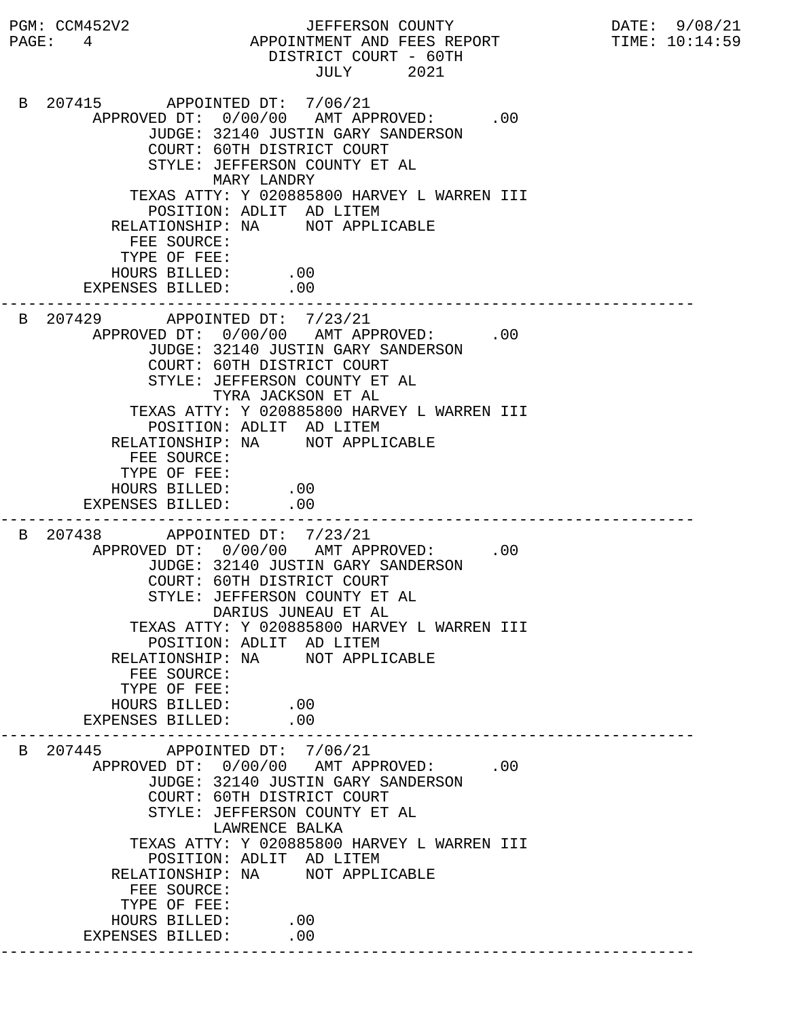PGM: CCM452V2 JEFFERSON COUNTY DATE: 9/08/21 PAGE: 4 APPOINTMENT AND FEES REPORT TIME: 10:14:59 DISTRICT COURT - 60TH JULY 2021 B 207415 APPOINTED DT: 7/06/21 APPROVED DT:  $0/00/00$  AMT APPROVED: .00 JUDGE: 32140 JUSTIN GARY SANDERSON COURT: 60TH DISTRICT COURT STYLE: JEFFERSON COUNTY ET AL MARY LANDRY TEXAS ATTY: Y 020885800 HARVEY L WARREN III POSITION: ADLIT AD LITEM RELATIONSHIP: NA NOT APPLICABLE FEE SOURCE: TYPE OF FEE: HOURS BILLED: .00 EXPENSES BILLED: .00 --------------------------------------------------------------------------- B 207429 APPOINTED DT: 7/23/21 APPROVED DT:  $0/00/00$  AMT APPROVED: .00 JUDGE: 32140 JUSTIN GARY SANDERSON COURT: 60TH DISTRICT COURT STYLE: JEFFERSON COUNTY ET AL TYRA JACKSON ET AL TEXAS ATTY: Y 020885800 HARVEY L WARREN III POSITION: ADLIT AD LITEM RELATIONSHIP: NA NOT APPLICABLE FEE SOURCE: TYPE OF FEE: HOURS BILLED: .00 EXPENSES BILLED: .00 --------------------------------------------------------------------------- B 207438 APPOINTED DT: 7/23/21 APPROVED DT:  $0/00/00$  AMT APPROVED: .00 JUDGE: 32140 JUSTIN GARY SANDERSON COURT: 60TH DISTRICT COURT STYLE: JEFFERSON COUNTY ET AL DARIUS JUNEAU ET AL TEXAS ATTY: Y 020885800 HARVEY L WARREN III POSITION: ADLIT AD LITEM RELATIONSHIP: NA NOT APPLICABLE FEE SOURCE: TYPE OF FEE: HOURS BILLED: .00<br>ENSES BILLED: .00 EXPENSES BILLED: --------------------------------------------------------------------------- B 207445 APPOINTED DT: 7/06/21 APPROVED DT:  $0/00/00$  AMT APPROVED: .00 JUDGE: 32140 JUSTIN GARY SANDERSON COURT: 60TH DISTRICT COURT STYLE: JEFFERSON COUNTY ET AL LAWRENCE BALKA TEXAS ATTY: Y 020885800 HARVEY L WARREN III POSITION: ADLIT AD LITEM RELATIONSHIP: NA NOT APPLICABLE FEE SOURCE: TYPE OF FEE: HOURS BILLED: .00 EXPENSES BILLED: .00 ---------------------------------------------------------------------------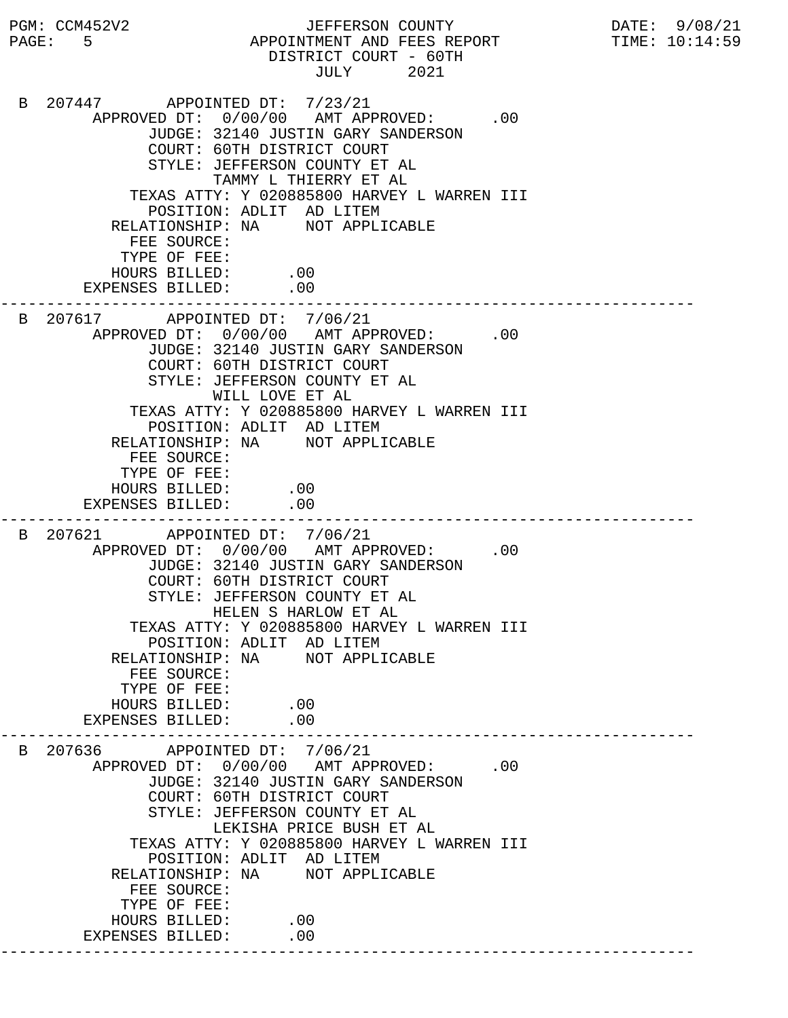PGM: CCM452V2 JEFFERSON COUNTY DATE: 9/08/21 PAGE: 5 APPOINTMENT AND FEES REPORT TIME: 10:14:59 DISTRICT COURT - 60TH JULY 2021 B 207447 APPOINTED DT: 7/23/21 APPROVED DT:  $0/00/00$  AMT APPROVED: .00 JUDGE: 32140 JUSTIN GARY SANDERSON COURT: 60TH DISTRICT COURT STYLE: JEFFERSON COUNTY ET AL TAMMY L THIERRY ET AL TEXAS ATTY: Y 020885800 HARVEY L WARREN III POSITION: ADLIT AD LITEM RELATIONSHIP: NA NOT APPLICABLE FEE SOURCE: TYPE OF FEE: HOURS BILLED: .00 EXPENSES BILLED: .00 --------------------------------------------------------------------------- B 207617 APPOINTED DT: 7/06/21 APPROVED DT:  $0/00/00$  AMT APPROVED: .00 JUDGE: 32140 JUSTIN GARY SANDERSON COURT: 60TH DISTRICT COURT STYLE: JEFFERSON COUNTY ET AL WILL LOVE ET AL TEXAS ATTY: Y 020885800 HARVEY L WARREN III POSITION: ADLIT AD LITEM RELATIONSHIP: NA NOT APPLICABLE FEE SOURCE: TYPE OF FEE: HOURS BILLED: .00 EXPENSES BILLED: .00 --------------------------------------------------------------------------- B 207621 APPOINTED DT: 7/06/21 APPROVED DT:  $0/00/00$  AMT APPROVED: .00 JUDGE: 32140 JUSTIN GARY SANDERSON COURT: 60TH DISTRICT COURT STYLE: JEFFERSON COUNTY ET AL HELEN S HARLOW ET AL TEXAS ATTY: Y 020885800 HARVEY L WARREN III POSITION: ADLIT AD LITEM RELATIONSHIP: NA NOT APPLICABLE FEE SOURCE: TYPE OF FEE: HOURS BILLED: .00<br>ENSES BILLED: .00 EXPENSES BILLED: --------------------------------------------------------------------------- B 207636 APPOINTED DT: 7/06/21 APPROVED DT:  $0/00/00$  AMT APPROVED: .00 JUDGE: 32140 JUSTIN GARY SANDERSON COURT: 60TH DISTRICT COURT STYLE: JEFFERSON COUNTY ET AL LEKISHA PRICE BUSH ET AL TEXAS ATTY: Y 020885800 HARVEY L WARREN III POSITION: ADLIT AD LITEM RELATIONSHIP: NA NOT APPLICABLE FEE SOURCE: TYPE OF FEE: HOURS BILLED: .00 EXPENSES BILLED: .00 ---------------------------------------------------------------------------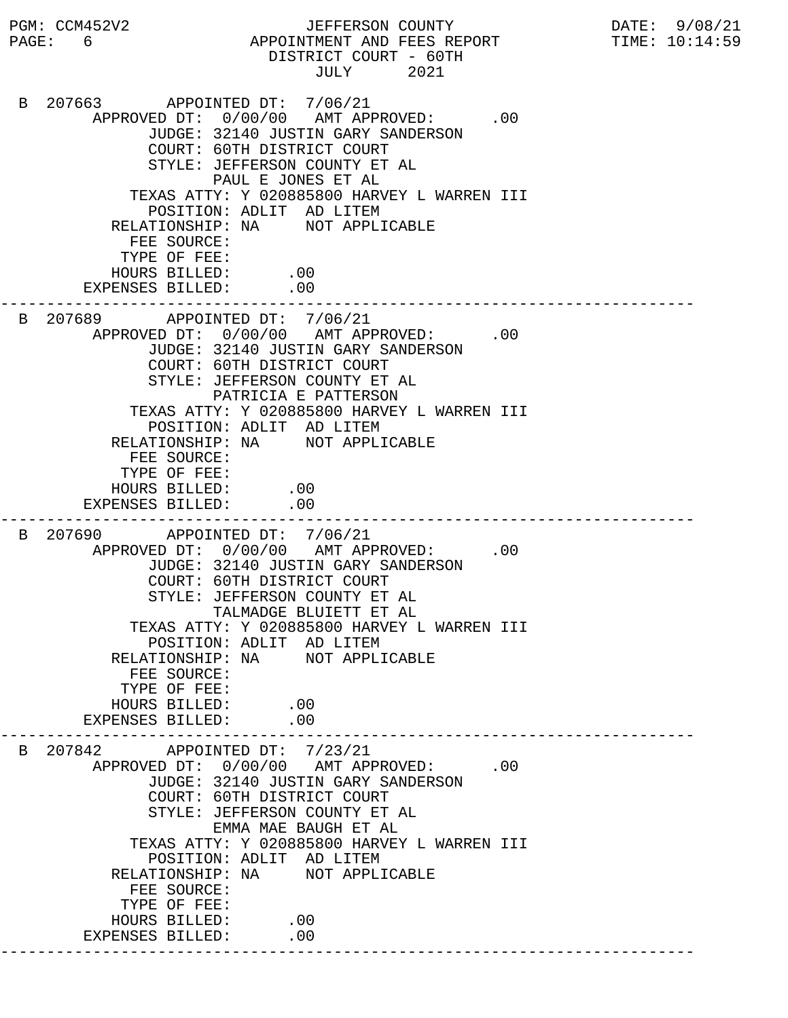PGM: CCM452V2 JEFFERSON COUNTY DATE: 9/08/21 PAGE: 6 APPOINTMENT AND FEES REPORT TIME:  $10:14:59$  DISTRICT COURT - 60TH JULY 2021 B 207663 APPOINTED DT: 7/06/21 APPROVED DT:  $0/00/00$  AMT APPROVED: .00 JUDGE: 32140 JUSTIN GARY SANDERSON COURT: 60TH DISTRICT COURT STYLE: JEFFERSON COUNTY ET AL PAUL E JONES ET AL TEXAS ATTY: Y 020885800 HARVEY L WARREN III POSITION: ADLIT AD LITEM RELATIONSHIP: NA NOT APPLICABLE FEE SOURCE: TYPE OF FEE: HOURS BILLED: .00 EXPENSES BILLED: .00 --------------------------------------------------------------------------- B 207689 APPOINTED DT: 7/06/21 APPROVED DT:  $0/00/00$  AMT APPROVED: .00 JUDGE: 32140 JUSTIN GARY SANDERSON COURT: 60TH DISTRICT COURT STYLE: JEFFERSON COUNTY ET AL PATRICIA E PATTERSON TEXAS ATTY: Y 020885800 HARVEY L WARREN III POSITION: ADLIT AD LITEM RELATIONSHIP: NA NOT APPLICABLE FEE SOURCE: TYPE OF FEE: HOURS BILLED: .00 EXPENSES BILLED: .00 --------------------------------------------------------------------------- B 207690 APPOINTED DT: 7/06/21 APPROVED DT:  $0/00/00$  AMT APPROVED: .00 JUDGE: 32140 JUSTIN GARY SANDERSON COURT: 60TH DISTRICT COURT STYLE: JEFFERSON COUNTY ET AL TALMADGE BLUIETT ET AL TEXAS ATTY: Y 020885800 HARVEY L WARREN III POSITION: ADLIT AD LITEM RELATIONSHIP: NA NOT APPLICABLE FEE SOURCE: TYPE OF FEE: HOURS BILLED: .00<br>ENSES BILLED: .00 EXPENSES BILLED: --------------------------------------------------------------------------- B 207842 APPOINTED DT: 7/23/21 APPROVED DT:  $0/00/00$  AMT APPROVED: .00 JUDGE: 32140 JUSTIN GARY SANDERSON COURT: 60TH DISTRICT COURT STYLE: JEFFERSON COUNTY ET AL EMMA MAE BAUGH ET AL TEXAS ATTY: Y 020885800 HARVEY L WARREN III POSITION: ADLIT AD LITEM RELATIONSHIP: NA NOT APPLICABLE FEE SOURCE: TYPE OF FEE: HOURS BILLED: .00 EXPENSES BILLED: .00 ---------------------------------------------------------------------------